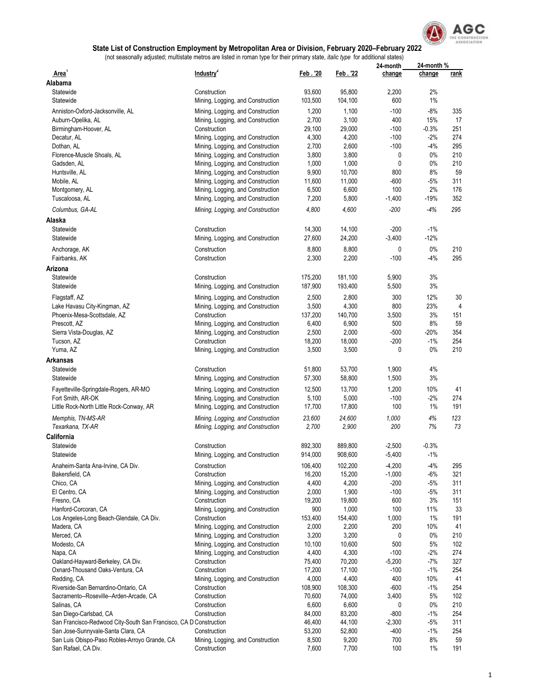

|                                                                   |                                   |                 |         | 24-month | 24-month %   |             |
|-------------------------------------------------------------------|-----------------------------------|-----------------|---------|----------|--------------|-------------|
| Area'<br>Alabama                                                  | Industry <sup>2</sup>             | Feb. '20        | Feb. 22 | change   | change       | <u>rank</u> |
| Statewide                                                         | Construction                      | 93,600          | 95,800  | 2,200    | 2%           |             |
| Statewide                                                         | Mining, Logging, and Construction | 103,500         | 104,100 | 600      | 1%           |             |
|                                                                   |                                   |                 |         |          |              |             |
| Anniston-Oxford-Jacksonville, AL                                  | Mining, Logging, and Construction | 1,200           | 1,100   | $-100$   | $-8%$<br>15% | 335         |
| Auburn-Opelika, AL                                                | Mining, Logging, and Construction | 2,700           | 3,100   | 400      |              | 17          |
| Birmingham-Hoover, AL                                             | Construction                      | 29,100          | 29,000  | $-100$   | $-0.3%$      | 251         |
| Decatur, AL                                                       | Mining, Logging, and Construction | 4,300           | 4,200   | $-100$   | $-2%$        | 274         |
| Dothan, AL                                                        | Mining, Logging, and Construction | 2,700           | 2,600   | $-100$   | $-4%$        | 295         |
| Florence-Muscle Shoals, AL                                        | Mining, Logging, and Construction | 3,800           | 3,800   | 0        | 0%           | 210         |
| Gadsden, AL                                                       | Mining, Logging, and Construction | 1,000           | 1,000   | 0        | 0%           | 210         |
| Huntsville, AL                                                    | Mining, Logging, and Construction | 9,900           | 10,700  | 800      | 8%           | 59          |
| Mobile, AL                                                        | Mining, Logging, and Construction | 11,600          | 11,000  | $-600$   | $-5%$        | 311         |
| Montgomery, AL                                                    | Mining, Logging, and Construction | 6,500           | 6,600   | 100      | 2%           | 176         |
| Tuscaloosa, AL                                                    | Mining, Logging, and Construction | 7,200           | 5,800   | $-1,400$ | $-19%$       | 352         |
| Columbus, GA-AL                                                   | Mining, Logging, and Construction | 4,800           | 4,600   | $-200$   | $-4%$        | 295         |
| Alaska                                                            |                                   |                 |         |          |              |             |
| Statewide                                                         | Construction                      | 14,300          | 14,100  | $-200$   | $-1%$        |             |
| Statewide                                                         | Mining, Logging, and Construction | 27,600          | 24,200  | $-3,400$ | $-12%$       |             |
| Anchorage, AK                                                     | Construction                      | 8,800           | 8,800   | 0        | 0%           | 210         |
| Fairbanks, AK                                                     | Construction                      | 2,300           | 2,200   | $-100$   | $-4%$        | 295         |
| Arizona                                                           |                                   |                 |         |          |              |             |
| Statewide                                                         | Construction                      | 175,200         | 181,100 | 5,900    | 3%           |             |
| Statewide                                                         | Mining, Logging, and Construction | 187,900         | 193,400 | 5,500    | 3%           |             |
|                                                                   |                                   |                 |         |          |              |             |
| Flagstaff, AZ                                                     | Mining, Logging, and Construction | 2,500           | 2,800   | 300      | 12%          | 30          |
| Lake Havasu City-Kingman, AZ                                      | Mining, Logging, and Construction | 3,500           | 4,300   | 800      | 23%          | 4           |
| Phoenix-Mesa-Scottsdale, AZ                                       | Construction                      | 137,200         | 140,700 | 3,500    | 3%           | 151         |
| Prescott, AZ                                                      | Mining, Logging, and Construction | 6,400           | 6,900   | 500      | 8%           | 59          |
| Sierra Vista-Douglas, AZ                                          | Mining, Logging, and Construction | 2,500           | 2,000   | $-500$   | $-20%$       | 354         |
| Tucson, AZ                                                        | Construction                      | 18,200          | 18,000  | $-200$   | $-1%$        | 254         |
| Yuma, AZ                                                          | Mining, Logging, and Construction | 3,500           | 3,500   | 0        | 0%           | 210         |
| Arkansas                                                          |                                   |                 |         |          |              |             |
| Statewide                                                         | Construction                      | 51,800          | 53,700  | 1,900    | 4%           |             |
| Statewide                                                         | Mining, Logging, and Construction | 57,300          | 58,800  | 1,500    | 3%           |             |
| Fayetteville-Springdale-Rogers, AR-MO                             | Mining, Logging, and Construction | 12,500          | 13,700  | 1,200    | 10%          | 41          |
| Fort Smith, AR-OK                                                 | Mining, Logging, and Construction | 5,100           | 5,000   | $-100$   | $-2%$        | 274         |
| Little Rock-North Little Rock-Conway, AR                          | Mining, Logging, and Construction | 17,700          | 17,800  | 100      | 1%           | 191         |
|                                                                   |                                   |                 | 24,600  | 1,000    | 4%           | 123         |
| Memphis, TN-MS-AR                                                 | Mining, Logging, and Construction | 23,600<br>2,700 | 2,900   | 200      | 7%           | 73          |
| Texarkana, TX-AR                                                  | Mining, Logging, and Construction |                 |         |          |              |             |
| California                                                        |                                   |                 |         |          |              |             |
| Statewide                                                         | Construction                      | 892,300         | 889,800 | $-2,500$ | $-0.3%$      |             |
| Statewide                                                         | Mining, Logging, and Construction | 914,000         | 908,600 | $-5,400$ | $-1%$        |             |
| Anaheim-Santa Ana-Irvine, CA Div.                                 | Construction                      | 106,400         | 102,200 | $-4,200$ | $-4%$        | 295         |
| Bakersfield, CA                                                   | Construction                      | 16,200          | 15,200  | $-1,000$ | $-6%$        | 321         |
| Chico, CA                                                         | Mining, Logging, and Construction | 4,400           | 4,200   | $-200$   | $-5%$        | 311         |
| El Centro, CA                                                     | Mining, Logging, and Construction | 2,000           | 1,900   | $-100$   | $-5%$        | 311         |
| Fresno, CA                                                        | Construction                      | 19,200          | 19,800  | 600      | 3%           | 151         |
| Hanford-Corcoran, CA                                              | Mining, Logging, and Construction | 900             | 1,000   | 100      | 11%          | 33          |
| Los Angeles-Long Beach-Glendale, CA Div.                          | Construction                      | 153,400         | 154,400 | 1,000    | 1%           | 191         |
| Madera, CA                                                        | Mining, Logging, and Construction | 2,000           | 2,200   | 200      | 10%          | 41          |
| Merced, CA                                                        | Mining, Logging, and Construction | 3,200           | 3,200   | 0        | 0%           | 210         |
| Modesto, CA                                                       | Mining, Logging, and Construction | 10,100          | 10,600  | 500      | 5%           | 102         |
| Napa, CA                                                          | Mining, Logging, and Construction | 4,400           | 4,300   | $-100$   | $-2%$        | 274         |
| Oakland-Hayward-Berkeley, CA Div.                                 | Construction                      | 75,400          | 70,200  | $-5,200$ | $-7%$        | 327         |
| Oxnard-Thousand Oaks-Ventura, CA                                  | Construction                      | 17,200          | 17,100  | $-100$   | $-1%$        | 254         |
| Redding, CA                                                       | Mining, Logging, and Construction | 4,000           | 4,400   | 400      | 10%          | 41          |
| Riverside-San Bernardino-Ontario, CA                              | Construction                      | 108,900         | 108,300 | $-600$   | $-1%$        | 254         |
| Sacramento--Roseville--Arden-Arcade, CA                           | Construction                      | 70,600          | 74,000  | 3,400    | 5%           | 102         |
| Salinas, CA                                                       | Construction                      | 6,600           | 6,600   | 0        | 0%           | 210         |
| San Diego-Carlsbad, CA                                            | Construction                      | 84,000          | 83,200  | -800     | $-1%$        | 254         |
| San Francisco-Redwood City-South San Francisco, CA D Construction |                                   | 46,400          | 44,100  | $-2,300$ | $-5%$        | 311         |
| San Jose-Sunnyvale-Santa Clara, CA                                | Construction                      | 53,200          | 52,800  | -400     | $-1\%$       | 254         |
| San Luis Obispo-Paso Robles-Arroyo Grande, CA                     | Mining, Logging, and Construction | 8,500           | 9,200   | 700      | 8%           | 59          |
| San Rafael, CA Div.                                               | Construction                      | 7,600           | 7,700   | 100      | 1%           | 191         |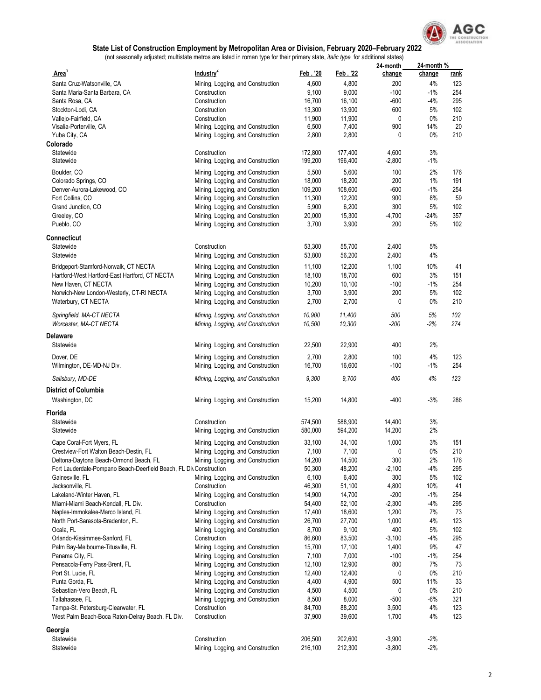

|                                                                                                              |                                                                        |                   |                   | 24-month       | 24-month%      |             |
|--------------------------------------------------------------------------------------------------------------|------------------------------------------------------------------------|-------------------|-------------------|----------------|----------------|-------------|
| Area <sup>1</sup>                                                                                            | Industry <sup>2</sup>                                                  | Feb. '20          | Feb. 22           | change         | change         | <u>rank</u> |
| Santa Cruz-Watsonville, CA                                                                                   | Mining, Logging, and Construction                                      | 4,600             | 4,800             | 200            | 4%             | 123         |
| Santa Maria-Santa Barbara, CA                                                                                | Construction                                                           | 9,100             | 9,000             | $-100$         | $-1%$          | 254         |
| Santa Rosa, CA                                                                                               | Construction                                                           | 16,700            | 16,100            | $-600$         | -4%            | 295         |
| Stockton-Lodi, CA                                                                                            | Construction                                                           | 13,300            | 13,900            | 600            | 5%             | 102         |
| Vallejo-Fairfield, CA                                                                                        | Construction                                                           | 11,900            | 11,900            | 0              | $0\%$          | 210         |
| Visalia-Porterville, CA                                                                                      | Mining, Logging, and Construction                                      | 6,500             | 7,400             | 900            | 14%            | 20          |
| Yuba City, CA                                                                                                | Mining, Logging, and Construction                                      | 2,800             | 2,800             | 0              | $0\%$          | 210         |
| Colorado<br>Statewide                                                                                        | Construction                                                           | 172,800           | 177,400           | 4,600          | 3%             |             |
| Statewide                                                                                                    | Mining, Logging, and Construction                                      | 199,200           | 196,400           | $-2,800$       | -1%            |             |
|                                                                                                              |                                                                        |                   |                   |                |                |             |
| Boulder, CO                                                                                                  | Mining, Logging, and Construction                                      | 5,500             | 5,600             | 100            | 2%             | 176         |
| Colorado Springs, CO<br>Denver-Aurora-Lakewood, CO                                                           | Mining, Logging, and Construction<br>Mining, Logging, and Construction | 18,000            | 18,200<br>108,600 | 200            | 1%<br>$-1%$    | 191<br>254  |
| Fort Collins, CO                                                                                             | Mining, Logging, and Construction                                      | 109,200<br>11,300 | 12,200            | $-600$<br>900  | 8%             | 59          |
| Grand Junction, CO                                                                                           | Mining, Logging, and Construction                                      | 5,900             | 6,200             | 300            | 5%             | 102         |
| Greeley, CO                                                                                                  | Mining, Logging, and Construction                                      | 20,000            | 15,300            | -4,700         | $-24%$         | 357         |
| Pueblo, CO                                                                                                   | Mining, Logging, and Construction                                      | 3,700             | 3,900             | 200            | 5%             | 102         |
|                                                                                                              |                                                                        |                   |                   |                |                |             |
| <b>Connecticut</b>                                                                                           |                                                                        |                   |                   |                |                |             |
| Statewide                                                                                                    | Construction                                                           | 53,300            | 55,700            | 2,400          | 5%             |             |
| Statewide                                                                                                    | Mining, Logging, and Construction                                      | 53,800            | 56,200            | 2,400          | 4%             |             |
| Bridgeport-Stamford-Norwalk, CT NECTA                                                                        | Mining, Logging, and Construction                                      | 11,100            | 12,200            | 1,100          | 10%            | 41          |
| Hartford-West Hartford-East Hartford, CT NECTA                                                               | Mining, Logging, and Construction                                      | 18,100            | 18,700            | 600            | 3%             | 151         |
| New Haven, CT NECTA                                                                                          | Mining, Logging, and Construction                                      | 10,200            | 10,100            | $-100$         | $-1%$          | 254         |
| Norwich-New London-Westerly, CT-RI NECTA                                                                     | Mining, Logging, and Construction                                      | 3,700             | 3,900             | 200            | 5%             | 102         |
| Waterbury, CT NECTA                                                                                          | Mining, Logging, and Construction                                      | 2,700             | 2,700             | 0              | $0\%$          | 210         |
| Springfield, MA-CT NECTA                                                                                     | Mining, Logging, and Construction                                      | 10,900            | 11,400            | 500            | 5%             | 102         |
| Worcester, MA-CT NECTA                                                                                       | Mining, Logging, and Construction                                      | 10,500            | 10,300            | $-200$         | $-2%$          | 274         |
| Delaware                                                                                                     |                                                                        |                   |                   |                |                |             |
| Statewide                                                                                                    | Mining, Logging, and Construction                                      | 22,500            | 22,900            | 400            | 2%             |             |
|                                                                                                              |                                                                        |                   |                   |                |                |             |
| Dover, DE                                                                                                    | Mining, Logging, and Construction                                      | 2,700             | 2,800             | 100            | 4%<br>$-1%$    | 123         |
| Wilmington, DE-MD-NJ Div.                                                                                    | Mining, Logging, and Construction                                      | 16,700            | 16,600            | $-100$         |                | 254         |
| Salisbury, MD-DE                                                                                             | Mining, Logging, and Construction                                      | 9,300             | 9,700             | 400            | 4%             | 123         |
| District of Columbia                                                                                         |                                                                        |                   |                   |                |                |             |
| Washington, DC                                                                                               | Mining, Logging, and Construction                                      | 15,200            | 14,800            | $-400$         | $-3%$          | 286         |
| Florida                                                                                                      |                                                                        |                   |                   |                |                |             |
| Statewide                                                                                                    | Construction                                                           | 574,500           | 588,900           | 14,400         | 3%             |             |
| Statewide                                                                                                    | Mining, Logging, and Construction                                      | 580,000           | 594,200           | 14,200         | 2%             |             |
|                                                                                                              |                                                                        |                   |                   |                |                |             |
| Cape Coral-Fort Myers, FL<br>Crestview-Fort Walton Beach-Destin, FL                                          | Mining, Logging, and Construction                                      | 33,100            | 34,100            | 1,000          | 3%             | 151         |
|                                                                                                              | Mining, Logging, and Construction                                      | 7,100<br>14,200   | 7,100<br>14,500   | 0<br>300       | $0\%$<br>$2\%$ | 210<br>176  |
| Deltona-Daytona Beach-Ormond Beach, FL<br>Fort Lauderdale-Pompano Beach-Deerfield Beach, FL Div Construction | Mining, Logging, and Construction                                      | 50,300            | 48,200            | $-2,100$       | $-4%$          | 295         |
| Gainesville, FL                                                                                              | Mining, Logging, and Construction                                      | 6,100             | 6,400             | 300            | 5%             | 102         |
| Jacksonville, FL                                                                                             | Construction                                                           | 46,300            | 51,100            | 4,800          | 10%            | 41          |
| Lakeland-Winter Haven, FL                                                                                    | Mining, Logging, and Construction                                      | 14,900            | 14,700            | $-200$         | $-1%$          | 254         |
| Miami-Miami Beach-Kendall, FL Div.                                                                           | Construction                                                           | 54,400            | 52,100            | $-2,300$       | $-4%$          | 295         |
| Naples-Immokalee-Marco Island, FL                                                                            | Mining, Logging, and Construction                                      | 17,400            | 18,600            | 1,200          | 7%             | 73          |
| North Port-Sarasota-Bradenton, FL                                                                            | Mining, Logging, and Construction                                      | 26,700            | 27,700            | 1,000          | 4%             | 123         |
| Ocala, FL                                                                                                    | Mining, Logging, and Construction                                      | 8,700             | 9,100             | 400            | 5%             | 102         |
| Orlando-Kissimmee-Sanford, FL                                                                                | Construction                                                           | 86,600            | 83,500            | $-3,100$       | $-4%$          | 295         |
| Palm Bay-Melbourne-Titusville, FL                                                                            | Mining, Logging, and Construction                                      | 15,700            | 17,100            | 1,400          | 9%             | 47          |
| Panama City, FL                                                                                              | Mining, Logging, and Construction                                      | 7,100             | 7,000             | $-100$         | -1%            | 254         |
| Pensacola-Ferry Pass-Brent, FL                                                                               | Mining, Logging, and Construction                                      | 12,100            | 12,900            | 800            | 7%             | 73          |
| Port St. Lucie, FL                                                                                           | Mining, Logging, and Construction                                      | 12,400            | 12,400            | 0              | $0\%$          | 210         |
| Punta Gorda, FL                                                                                              | Mining, Logging, and Construction                                      | 4,400             | 4,900             | 500            | 11%            | 33          |
| Sebastian-Vero Beach, FL                                                                                     | Mining, Logging, and Construction                                      | 4,500             | 4,500             | 0              | 0%             | 210         |
| Tallahassee, FL                                                                                              | Mining, Logging, and Construction                                      | 8,500             | 8,000             | $-500$         | -6%            | 321         |
| Tampa-St. Petersburg-Clearwater, FL<br>West Palm Beach-Boca Raton-Delray Beach, FL Div.                      | Construction<br>Construction                                           | 84,700<br>37,900  | 88,200<br>39,600  | 3,500<br>1,700 | 4%<br>4%       | 123<br>123  |
|                                                                                                              |                                                                        |                   |                   |                |                |             |
| Georgia                                                                                                      |                                                                        |                   |                   |                |                |             |
| Statewide                                                                                                    | Construction                                                           | 206,500           | 202,600           | $-3,900$       | -2%            |             |
| Statewide                                                                                                    | Mining, Logging, and Construction                                      | 216,100           | 212,300           | $-3,800$       | $-2%$          |             |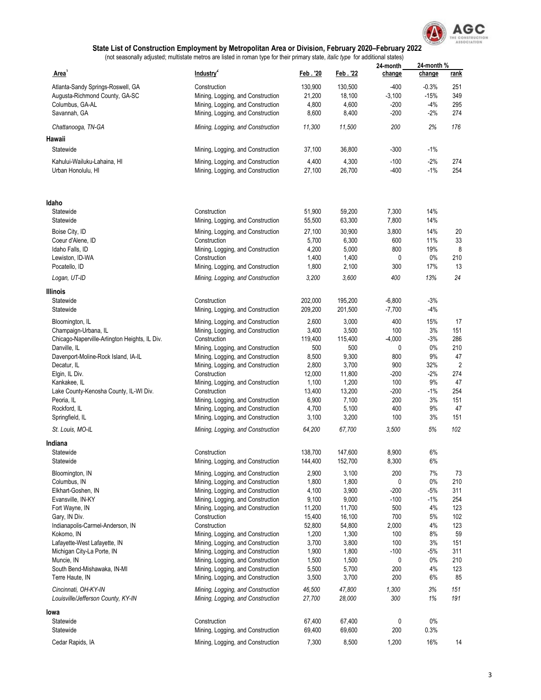

|                                                            | Industry <sup>2</sup>                                                  | Feb. '20         | Feb. 22          | 24-month       | 24-month%  |                |
|------------------------------------------------------------|------------------------------------------------------------------------|------------------|------------------|----------------|------------|----------------|
| <b>Area</b>                                                |                                                                        |                  |                  | change         | change     | <u>rank</u>    |
| Atlanta-Sandy Springs-Roswell, GA                          | Construction                                                           | 130,900          | 130,500          | $-400$         | $-0.3%$    | 251            |
| Augusta-Richmond County, GA-SC                             | Mining, Logging, and Construction                                      | 21,200           | 18,100           | $-3,100$       | $-15%$     | 349            |
| Columbus, GA-AL                                            | Mining, Logging, and Construction                                      | 4,800            | 4,600            | -200           | $-4%$      | 295            |
| Savannah, GA                                               | Mining, Logging, and Construction                                      | 8,600            | 8,400            | $-200$         | $-2%$      | 274            |
| Chattanooga, TN-GA                                         | Mining, Logging, and Construction                                      | 11,300           | 11,500           | 200            | 2%         | 176            |
| Hawaii                                                     |                                                                        |                  |                  |                |            |                |
| Statewide                                                  | Mining, Logging, and Construction                                      | 37,100           | 36,800           | $-300$         | -1%        |                |
| Kahului-Wailuku-Lahaina. HI                                | Mining, Logging, and Construction                                      | 4,400            | 4,300            | $-100$         | $-2\%$     | 274            |
| Urban Honolulu, HI                                         | Mining, Logging, and Construction                                      | 27,100           | 26,700           | $-400$         | $-1%$      | 254            |
| ldaho                                                      |                                                                        |                  |                  |                |            |                |
| Statewide<br>Statewide                                     | Construction<br>Mining, Logging, and Construction                      | 51,900<br>55,500 | 59,200<br>63,300 | 7,300<br>7,800 | 14%<br>14% |                |
| Boise City, ID                                             | Mining, Logging, and Construction                                      | 27,100           | 30,900           | 3,800          | 14%        | 20             |
| Coeur d'Alene, ID                                          | Construction                                                           | 5,700            | 6,300            | 600            | 11%        | 33             |
| Idaho Falls, ID                                            | Mining, Logging, and Construction                                      | 4,200            | 5,000            | 800            | 19%        | 8              |
| Lewiston, ID-WA                                            | Construction                                                           | 1,400            | 1,400            | 0              | 0%         | 210            |
| Pocatello, ID                                              | Mining, Logging, and Construction                                      | 1,800            | 2,100            | 300            | 17%        | 13             |
| Logan, UT-ID                                               | Mining, Logging, and Construction                                      | 3,200            | 3,600            | 400            | 13%        | 24             |
| Illinois                                                   |                                                                        |                  |                  |                |            |                |
| Statewide                                                  | Construction                                                           | 202,000          | 195,200          | $-6,800$       | $-3%$      |                |
| Statewide                                                  | Mining, Logging, and Construction                                      | 209,200          | 201,500          | $-7,700$       | $-4%$      |                |
| Bloomington, IL                                            | Mining, Logging, and Construction                                      | 2,600            | 3,000            | 400            | 15%        | 17             |
| Champaign-Urbana, IL                                       | Mining, Logging, and Construction                                      | 3,400            | 3,500            | 100            | 3%         | 151            |
| Chicago-Naperville-Arlington Heights, IL Div.              | Construction                                                           | 119,400          | 115,400          | $-4,000$       | $-3%$      | 286            |
| Danville, IL                                               | Mining, Logging, and Construction                                      | 500              | 500              | 0              | 0%         | 210            |
| Davenport-Moline-Rock Island, IA-IL                        | Mining, Logging, and Construction                                      | 8,500            | 9,300            | 800            | 9%         | 47             |
| Decatur, IL                                                | Mining, Logging, and Construction                                      | 2,800            | 3,700            | 900            | 32%        | $\overline{2}$ |
| Elgin, IL Div.                                             | Construction                                                           | 12,000           | 11,800           | -200           | $-2%$      | 274            |
| Kankakee, IL                                               | Mining, Logging, and Construction                                      | 1,100            | 1,200            | 100            | 9%         | 47             |
| Lake County-Kenosha County, IL-WI Div.                     | Construction                                                           | 13,400           | 13,200           | -200           | $-1%$      | 254            |
| Peoria, IL                                                 | Mining, Logging, and Construction                                      | 6,900            | 7,100            | 200            | 3%         | 151            |
| Rockford, IL                                               | Mining, Logging, and Construction                                      | 4,700            | 5,100            | 400            | 9%         | 47             |
| Springfield, IL                                            | Mining, Logging, and Construction                                      | 3,100            | 3,200            | 100            | 3%         | 151            |
| St. Louis, MO-IL                                           | Mining, Logging, and Construction                                      | 64,200           | 67,700           | 3,500          | 5%         | 102            |
| Indiana                                                    |                                                                        |                  |                  |                |            |                |
| Statewide                                                  | Construction                                                           | 138,700          | 147,600          | 8,900          | 6%         |                |
| Statewide                                                  | Mining, Logging, and Construction                                      | 144,400          | 152,700          | 8,300          | 6%         |                |
| Bloomington, IN                                            | Mining, Logging, and Construction                                      | 2,900            | 3,100            | 200            | 7%         | 73             |
| Columbus, IN                                               | Mining, Logging, and Construction                                      | 1,800            | 1,800            | 0              | $0\%$      | 210            |
| Elkhart-Goshen, IN                                         | Mining, Logging, and Construction                                      | 4,100            | 3,900            | $-200$         | $-5%$      | 311            |
| Evansville, IN-KY                                          | Mining, Logging, and Construction                                      | 9,100            | 9,000            | $-100$         | $-1%$      | 254            |
| Fort Wayne, IN                                             | Mining, Logging, and Construction                                      | 11,200           | 11,700           | 500            | 4%         | 123            |
| Gary, IN Div.                                              | Construction                                                           | 15,400           | 16,100           | 700            | 5%         | 102            |
|                                                            | Construction                                                           | 52,800           | 54,800           |                | 4%         | 123            |
| Indianapolis-Carmel-Anderson, IN                           |                                                                        |                  |                  | 2,000          |            |                |
| Kokomo, IN                                                 | Mining, Logging, and Construction                                      | 1,200            | 1,300            | 100            | 8%         | 59             |
| Lafayette-West Lafayette, IN                               | Mining, Logging, and Construction                                      | 3,700            | 3,800            | 100            | 3%         | 151            |
| Michigan City-La Porte, IN                                 | Mining, Logging, and Construction                                      | 1,900            | 1,800            | $-100$         | -5%        | 311            |
| Muncie, IN                                                 | Mining, Logging, and Construction                                      | 1,500            | 1,500            | 0              | 0%         | 210            |
| South Bend-Mishawaka, IN-MI                                | Mining, Logging, and Construction                                      | 5,500            | 5,700            | 200<br>200     | 4%<br>6%   | 123<br>85      |
| Terre Haute, IN                                            | Mining, Logging, and Construction                                      | 3,500            | 3,700            |                |            |                |
| Cincinnati, OH-KY-IN<br>Louisville/Jefferson County, KY-IN | Mining, Logging, and Construction<br>Mining, Logging, and Construction | 46,500<br>27,700 | 47,800<br>28,000 | 1,300<br>300   | 3%<br>1%   | 151<br>191     |
| lowa                                                       |                                                                        |                  |                  |                |            |                |
| Statewide                                                  | Construction                                                           | 67,400           | 67,400           | 0              | $0\%$      |                |
| Statewide                                                  | Mining, Logging, and Construction                                      | 69,400           | 69,600           | 200            | 0.3%       |                |
| Cedar Rapids, IA                                           | Mining, Logging, and Construction                                      | 7,300            | 8,500            | 1,200          | 16%        | 14             |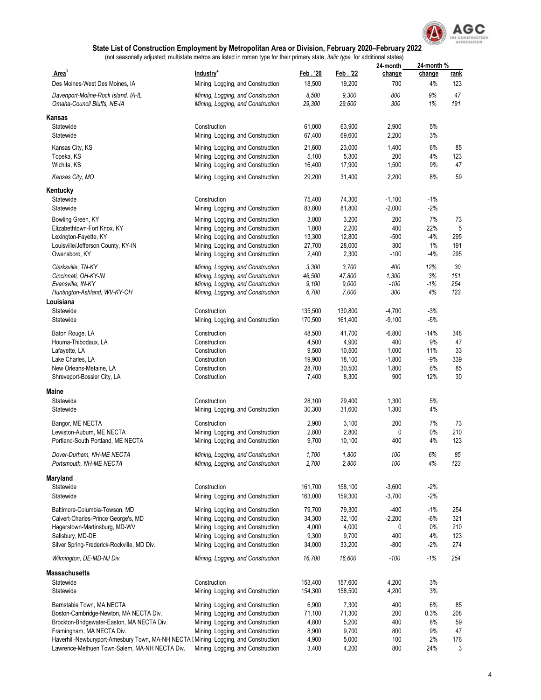

|                                                                                      |                                                                        |                    |                    | 24-month             | 24-month %   |                    |
|--------------------------------------------------------------------------------------|------------------------------------------------------------------------|--------------------|--------------------|----------------------|--------------|--------------------|
| Area <sup>1</sup><br>Des Moines-West Des Moines, IA                                  | Industry <sup>2</sup>                                                  | Feb. '20<br>18,500 | Feb. 22<br>19,200  | change<br>700        | change<br>4% | <u>rank</u><br>123 |
|                                                                                      | Mining, Logging, and Construction                                      |                    |                    |                      |              |                    |
| Davenport-Moline-Rock Island, IA-IL<br>Omaha-Council Bluffs, NE-IA                   | Mining, Logging, and Construction<br>Mining, Logging, and Construction | 8,500<br>29,300    | 9,300<br>29,600    | 800<br>300           | 9%<br>1%     | 47<br>191          |
| Kansas                                                                               |                                                                        |                    |                    |                      |              |                    |
| Statewide<br>Statewide                                                               | Construction<br>Mining, Logging, and Construction                      | 61,000<br>67,400   | 63,900<br>69,600   | 2,900<br>2,200       | 5%<br>3%     |                    |
| Kansas City, KS                                                                      | Mining, Logging, and Construction                                      | 21,600             | 23,000             | 1,400                | 6%           | 85                 |
| Topeka, KS                                                                           | Mining, Logging, and Construction                                      | 5,100              | 5,300              | 200                  | 4%           | 123                |
| Wichita, KS                                                                          | Mining, Logging, and Construction                                      | 16,400             | 17,900             | 1,500                | 9%           | 47                 |
| Kansas City, MO                                                                      | Mining, Logging, and Construction                                      | 29,200             | 31,400             | 2,200                | 8%           | 59                 |
| Kentucky                                                                             |                                                                        |                    |                    |                      |              |                    |
| Statewide                                                                            | Construction                                                           | 75,400             | 74,300             | $-1,100$             | $-1%$        |                    |
| Statewide                                                                            | Mining, Logging, and Construction                                      | 83,800             | 81,800             | $-2,000$             | $-2%$        |                    |
| Bowling Green, KY                                                                    | Mining, Logging, and Construction                                      | 3,000              | 3,200              | 200                  | 7%           | 73                 |
| Elizabethtown-Fort Knox, KY                                                          | Mining, Logging, and Construction                                      | 1,800              | 2,200              | 400                  | 22%          | 5                  |
| Lexington-Fayette, KY                                                                | Mining, Logging, and Construction                                      | 13,300             | 12,800             | $-500$               | $-4%$        | 295                |
| Louisville/Jefferson County, KY-IN                                                   | Mining, Logging, and Construction                                      | 27,700             | 28,000             | 300                  | 1%           | 191                |
| Owensboro, KY                                                                        | Mining, Logging, and Construction                                      | 2,400              | 2,300              | $-100$               | $-4%$        | 295                |
| Clarksville, TN-KY                                                                   | Mining, Logging, and Construction                                      | 3,300              | 3,700              | 400                  | 12%          | 30                 |
| Cincinnati, OH-KY-IN                                                                 | Mining, Logging, and Construction                                      | 46,500             | 47,800             | 1,300                | 3%           | 151                |
| Evansville, IN-KY                                                                    | Mining, Logging, and Construction                                      | 9,100              | 9,000              | $-100$               | $-1%$        | 254                |
| Huntington-Ashland, WV-KY-OH                                                         | Mining, Logging, and Construction                                      | 6,700              | 7,000              | 300                  | 4%           | 123                |
| Louisiana                                                                            | Construction                                                           |                    |                    |                      | $-3%$        |                    |
| Statewide<br>Statewide                                                               | Mining, Logging, and Construction                                      | 135,500<br>170,500 | 130,800<br>161,400 | $-4,700$<br>$-9,100$ | $-5%$        |                    |
|                                                                                      |                                                                        |                    |                    |                      |              |                    |
| Baton Rouge, LA                                                                      | Construction                                                           | 48,500             | 41,700             | $-6,800$             | $-14%$       | 348                |
| Houma-Thibodaux, LA                                                                  | Construction                                                           | 4,500              | 4,900              | 400                  | 9%           | 47                 |
| Lafayette, LA                                                                        | Construction                                                           | 9,500              | 10,500             | 1,000                | 11%          | 33                 |
| Lake Charles, LA<br>New Orleans-Metairie, LA                                         | Construction<br>Construction                                           | 19,900<br>28,700   | 18,100<br>30,500   | $-1,800$<br>1,800    | $-9%$<br>6%  | 339<br>85          |
| Shreveport-Bossier City, LA                                                          | Construction                                                           | 7,400              | 8,300              | 900                  | 12%          | 30                 |
| Maine                                                                                |                                                                        |                    |                    |                      |              |                    |
| Statewide                                                                            | Construction                                                           | 28,100             | 29,400             | 1,300                | 5%           |                    |
| Statewide                                                                            | Mining, Logging, and Construction                                      | 30,300             | 31,600             | 1,300                | 4%           |                    |
| Bangor, ME NECTA                                                                     | Construction                                                           | 2,900              | 3,100              | 200                  | 7%           | 73                 |
| Lewiston-Auburn, ME NECTA                                                            | Mining, Logging, and Construction                                      | 2,800              | 2,800              | 0                    | $0\%$        | 210                |
| Portland-South Portland, ME NECTA                                                    | Mining, Logging, and Construction                                      | 9,700              | 10,100             | 400                  | 4%           | 123                |
| Dover-Durham, NH-ME NECTA                                                            | Mining, Logging, and Construction                                      | 1,700              | 1,800              | 100                  | 6%           | 85                 |
| Portsmouth, NH-ME NECTA                                                              | Mining, Logging, and Construction                                      | 2,700              | 2,800              | 100                  | 4%           | 123                |
| Maryland                                                                             |                                                                        |                    |                    |                      |              |                    |
| Statewide                                                                            | Construction                                                           | 161,700            | 158,100            | $-3,600$             | $-2%$        |                    |
| Statewide                                                                            | Mining, Logging, and Construction                                      | 163,000            | 159,300            | $-3,700$             | $-2%$        |                    |
| Baltimore-Columbia-Towson, MD                                                        | Mining, Logging, and Construction                                      | 79,700             | 79,300             | $-400$               | $-1%$        | 254                |
| Calvert-Charles-Prince George's, MD                                                  | Mining, Logging, and Construction                                      | 34,300             | 32,100             | $-2,200$             | $-6%$        | 321                |
| Hagerstown-Martinsburg, MD-WV                                                        | Mining, Logging, and Construction                                      | 4,000              | 4,000              | 0                    | $0\%$        | 210                |
| Salisbury, MD-DE                                                                     | Mining, Logging, and Construction                                      | 9,300              | 9,700              | 400                  | 4%           | 123                |
| Silver Spring-Frederick-Rockville, MD Div.                                           | Mining, Logging, and Construction                                      | 34,000             | 33,200             | $-800$               | $-2%$        | 274                |
| Wilmington, DE-MD-NJ Div.                                                            | Mining, Logging, and Construction                                      | 16,700             | 16,600             | $-100$               | $-1%$        | 254                |
| <b>Massachusetts</b>                                                                 |                                                                        |                    |                    |                      |              |                    |
| Statewide                                                                            | Construction                                                           | 153,400            | 157,600            | 4,200                | 3%           |                    |
| Statewide                                                                            | Mining, Logging, and Construction                                      | 154,300            | 158,500            | 4,200                | 3%           |                    |
| Barnstable Town, MA NECTA                                                            | Mining, Logging, and Construction                                      | 6,900              | 7,300              | 400                  | 6%           | 85                 |
| Boston-Cambridge-Newton, MA NECTA Div.                                               | Mining, Logging, and Construction                                      | 71,100             | 71,300             | 200                  | 0.3%         | 208                |
| Brockton-Bridgewater-Easton, MA NECTA Div.                                           | Mining, Logging, and Construction                                      | 4,800              | 5,200              | 400                  | 8%           | 59                 |
| Framingham, MA NECTA Div.                                                            | Mining, Logging, and Construction                                      | 8,900              | 9,700              | 800                  | 9%           | 47                 |
| Haverhill-Newburyport-Amesbury Town, MA-NH NECTA I Mining, Logging, and Construction |                                                                        | 4,900              | 5,000              | 100                  | 2%           | 176                |
| Lawrence-Methuen Town-Salem, MA-NH NECTA Div.                                        | Mining, Logging, and Construction                                      | 3,400              | 4,200              | 800                  | 24%          | 3                  |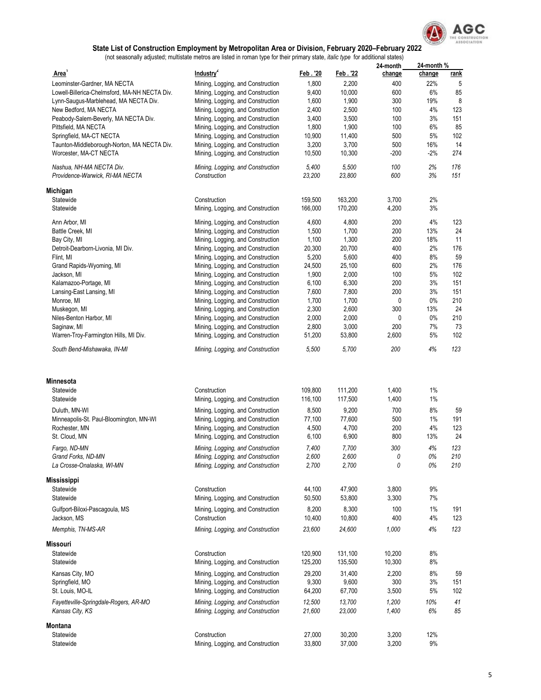

|                                                             |                                                   |                    |                    | 24-month         | 24-month% |             |
|-------------------------------------------------------------|---------------------------------------------------|--------------------|--------------------|------------------|-----------|-------------|
| Area <sup>1</sup>                                           | Industry <sup>2</sup>                             | Feb. '20           | Feb. 22            | change           | change    | <u>rank</u> |
| Leominster-Gardner, MA NECTA                                | Mining, Logging, and Construction                 | 1,800              | 2,200              | 400              | 22%       | 5           |
| Lowell-Billerica-Chelmsford, MA-NH NECTA Div.               | Mining, Logging, and Construction                 | 9,400              | 10,000             | 600              | 6%        | 85          |
| Lynn-Saugus-Marblehead, MA NECTA Div.                       | Mining, Logging, and Construction                 | 1,600              | 1,900              | 300              | 19%       | 8           |
| New Bedford, MA NECTA                                       | Mining, Logging, and Construction                 | 2,400              | 2,500              | 100              | 4%        | 123         |
| Peabody-Salem-Beverly, MA NECTA Div.                        | Mining, Logging, and Construction                 | 3,400              | 3,500              | 100              | 3%        | 151         |
| Pittsfield, MA NECTA                                        | Mining, Logging, and Construction                 | 1,800              | 1,900              | 100              | 6%        | 85          |
| Springfield, MA-CT NECTA                                    | Mining, Logging, and Construction                 | 10,900             | 11,400             | 500              | 5%        | 102         |
| Taunton-Middleborough-Norton, MA NECTA Div.                 | Mining, Logging, and Construction                 | 3,200              | 3,700              | 500              | 16%       | 14          |
| Worcester, MA-CT NECTA                                      | Mining, Logging, and Construction                 | 10,500             | 10,300             | -200             | -2%       | 274         |
| Nashua, NH-MA NECTA Div.<br>Providence-Warwick, RI-MA NECTA | Mining, Logging, and Construction<br>Construction | 5,400<br>23,200    | 5,500<br>23,800    | 100<br>600       | 2%<br>3%  | 176<br>151  |
| Michigan                                                    |                                                   |                    |                    |                  |           |             |
| Statewide                                                   | Construction                                      | 159,500            | 163,200            | 3,700            | 2%        |             |
| Statewide                                                   | Mining, Logging, and Construction                 | 166,000            | 170,200            | 4,200            | 3%        |             |
| Ann Arbor, MI                                               | Mining, Logging, and Construction                 | 4,600              | 4,800              | 200              | 4%        | 123         |
| Battle Creek, MI                                            | Mining, Logging, and Construction                 | 1,500              | 1,700              | 200              | 13%       | 24          |
| Bay City, MI                                                | Mining, Logging, and Construction                 | 1,100              | 1,300              | 200              | 18%       | 11          |
| Detroit-Dearborn-Livonia, MI Div.                           | Mining, Logging, and Construction                 | 20,300             | 20,700             | 400              | 2%        | 176         |
| Flint, MI                                                   | Mining, Logging, and Construction                 | 5,200              | 5,600              | 400              | 8%        | 59          |
| Grand Rapids-Wyoming, MI                                    | Mining, Logging, and Construction                 | 24,500             | 25,100             | 600              | 2%        | 176         |
| Jackson, MI                                                 | Mining, Logging, and Construction                 | 1,900              | 2,000              | 100              | 5%        | 102         |
| Kalamazoo-Portage, MI                                       | Mining, Logging, and Construction                 | 6,100              | 6,300              | 200              | 3%        | 151         |
| Lansing-East Lansing, MI                                    | Mining, Logging, and Construction                 | 7,600              | 7,800              | 200              | 3%        | 151         |
| Monroe, MI                                                  | Mining, Logging, and Construction                 | 1,700              | 1,700              | 0                | $0\%$     | 210         |
| Muskegon, MI                                                | Mining, Logging, and Construction                 | 2,300              | 2,600              | 300              | 13%       | 24          |
| Niles-Benton Harbor, MI                                     | Mining, Logging, and Construction                 | 2,000              | 2,000              | 0                | $0\%$     | 210         |
| Saginaw, MI                                                 | Mining, Logging, and Construction                 | 2,800              | 3,000              | 200              | 7%        | 73          |
| Warren-Troy-Farmington Hills, MI Div.                       | Mining, Logging, and Construction                 | 51,200             | 53,800             | 2,600            | 5%        | 102         |
| South Bend-Mishawaka, IN-MI                                 | Mining, Logging, and Construction                 | 5,500              | 5,700              | 200              | 4%        | 123         |
|                                                             |                                                   |                    |                    |                  |           |             |
| <b>Minnesota</b>                                            |                                                   |                    |                    |                  |           |             |
| Statewide                                                   | Construction                                      | 109,800            | 111,200            | 1,400            | 1%        |             |
| Statewide                                                   | Mining, Logging, and Construction                 | 116,100            | 117,500            | 1,400            | 1%        |             |
| Duluth, MN-WI                                               | Mining, Logging, and Construction                 | 8,500              | 9,200              | 700              | 8%        | 59          |
| Minneapolis-St. Paul-Bloomington, MN-WI                     | Mining, Logging, and Construction                 | 77,100             | 77,600             | 500              | 1%        | 191         |
| Rochester, MN                                               | Mining, Logging, and Construction                 | 4,500              | 4,700              | 200              | 4%        | 123         |
| St. Cloud, MN                                               | Mining, Logging, and Construction                 | 6,100              | 6,900              | 800              | 13%       | 24          |
| Fargo, ND-MN                                                | Mining, Logging, and Construction                 | 7,400              | 7,700              | 300              | 4%        | 123         |
| Grand Forks, ND-MN                                          | Mining, Logging, and Construction                 | 2,600              | 2,600              | 0                | 0%        | 210         |
| La Crosse-Onalaska, WI-MN                                   | Mining, Logging, and Construction                 | 2,700              | 2,700              | 0                | 0%        | 210         |
| Mississippi                                                 |                                                   |                    |                    |                  |           |             |
| Statewide                                                   | Construction                                      | 44,100             | 47,900             | 3,800            | 9%        |             |
| Statewide                                                   | Mining, Logging, and Construction                 | 50,500             | 53,800             | 3,300            | 7%        |             |
| Gulfport-Biloxi-Pascagoula, MS                              | Mining, Logging, and Construction                 | 8,200              | 8,300              | 100              | 1%        | 191         |
| Jackson, MS                                                 | Construction                                      | 10,400             | 10,800             | 400              | 4%        | 123         |
| Memphis, TN-MS-AR                                           | Mining, Logging, and Construction                 | 23,600             | 24,600             | 1,000            | 4%        | 123         |
| Missouri                                                    |                                                   |                    |                    |                  |           |             |
| Statewide<br>Statewide                                      | Construction<br>Mining, Logging, and Construction | 120,900<br>125,200 | 131,100<br>135,500 | 10,200<br>10,300 | 8%<br>8%  |             |
|                                                             |                                                   |                    |                    |                  |           |             |
| Kansas City, MO                                             | Mining, Logging, and Construction                 | 29,200             | 31,400             | 2,200            | 8%        | 59          |
| Springfield, MO                                             | Mining, Logging, and Construction                 | 9,300              | 9,600              | 300              | 3%        | 151         |
| St. Louis, MO-IL                                            | Mining, Logging, and Construction                 | 64,200             | 67,700             | 3,500            | 5%        | 102         |
| Fayetteville-Springdale-Rogers, AR-MO                       | Mining, Logging, and Construction                 | 12,500             | 13,700             | 1,200            | 10%       | 41          |
| Kansas City, KS                                             | Mining, Logging, and Construction                 | 21,600             | 23,000             | 1,400            | 6%        | 85          |
| Montana                                                     |                                                   |                    |                    |                  |           |             |
| Statewide                                                   | Construction                                      | 27,000             | 30,200             | 3,200            | 12%       |             |
| Statewide                                                   | Mining, Logging, and Construction                 | 33,800             | 37,000             | 3,200            | 9%        |             |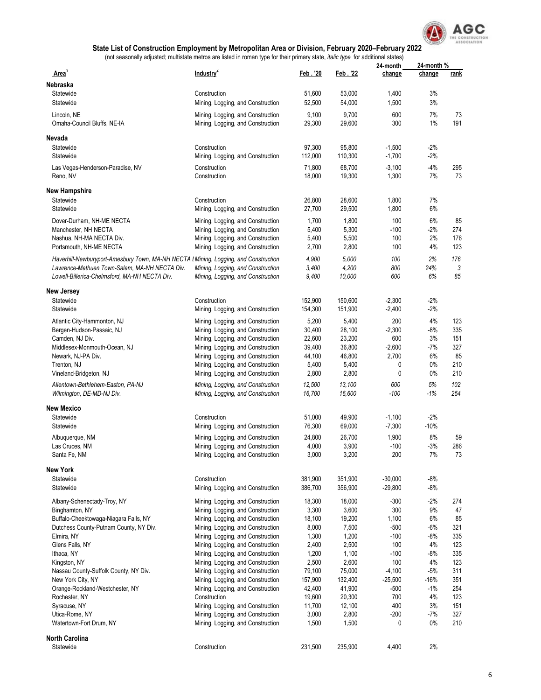

|                                                                                      |                                                                        |          |         | 24-month  | 24-month% |             |
|--------------------------------------------------------------------------------------|------------------------------------------------------------------------|----------|---------|-----------|-----------|-------------|
| Area'                                                                                | Industry <sup>2</sup>                                                  | Feb. '20 | Feb. 22 | change    | change    | <u>rank</u> |
| Nebraska                                                                             |                                                                        |          |         |           |           |             |
| Statewide                                                                            | Construction                                                           | 51,600   | 53.000  | 1,400     | 3%        |             |
| Statewide                                                                            | Mining, Logging, and Construction                                      | 52,500   | 54,000  | 1,500     | 3%        |             |
| Lincoln, NE                                                                          | Mining, Logging, and Construction                                      | 9,100    | 9,700   | 600       | 7%        | 73          |
| Omaha-Council Bluffs, NE-IA                                                          | Mining, Logging, and Construction                                      | 29,300   | 29,600  | 300       | 1%        | 191         |
|                                                                                      |                                                                        |          |         |           |           |             |
| Nevada                                                                               |                                                                        |          |         |           |           |             |
| Statewide                                                                            | Construction                                                           | 97,300   | 95,800  | $-1,500$  | -2%       |             |
| Statewide                                                                            | Mining, Logging, and Construction                                      | 112,000  | 110,300 | $-1,700$  | $-2%$     |             |
| Las Vegas-Henderson-Paradise, NV                                                     | Construction                                                           | 71,800   | 68,700  | $-3,100$  | $-4%$     | 295         |
| Reno, NV                                                                             | Construction                                                           | 18,000   | 19,300  | 1,300     | 7%        | 73          |
|                                                                                      |                                                                        |          |         |           |           |             |
| <b>New Hampshire</b>                                                                 |                                                                        |          |         |           |           |             |
| Statewide                                                                            | Construction                                                           | 26,800   | 28,600  | 1,800     | 7%        |             |
| Statewide                                                                            | Mining, Logging, and Construction                                      | 27,700   | 29,500  | 1,800     | 6%        |             |
| Dover-Durham, NH-ME NECTA                                                            | Mining, Logging, and Construction                                      | 1,700    | 1,800   | 100       | 6%        | 85          |
| Manchester, NH NECTA                                                                 | Mining, Logging, and Construction                                      | 5,400    | 5,300   | $-100$    | $-2%$     | 274         |
| Nashua, NH-MA NECTA Div.                                                             | Mining, Logging, and Construction                                      | 5,400    | 5,500   | 100       | 2%        | 176         |
| Portsmouth, NH-ME NECTA                                                              | Mining, Logging, and Construction                                      | 2,700    | 2,800   | 100       | 4%        | 123         |
| Haverhill-Newburyport-Amesbury Town, MA-NH NECTA I Mining, Logging, and Construction |                                                                        | 4,900    | 5,000   | 100       | 2%        | 176         |
| Lawrence-Methuen Town-Salem, MA-NH NECTA Div.                                        | Mining, Logging, and Construction                                      | 3,400    | 4,200   | 800       | 24%       | 3           |
| Lowell-Billerica-Chelmsford, MA-NH NECTA Div.                                        | Mining, Logging, and Construction                                      | 9,400    | 10,000  | 600       | 6%        | 85          |
|                                                                                      |                                                                        |          |         |           |           |             |
| New Jersey                                                                           |                                                                        |          |         |           |           |             |
| Statewide<br>Statewide                                                               | Construction                                                           | 152,900  | 150,600 | $-2,300$  | $-2%$     |             |
|                                                                                      | Mining, Logging, and Construction                                      | 154,300  | 151,900 | $-2,400$  | $-2%$     |             |
| Atlantic City-Hammonton, NJ                                                          | Mining, Logging, and Construction                                      | 5,200    | 5,400   | 200       | 4%        | 123         |
| Bergen-Hudson-Passaic, NJ                                                            | Mining, Logging, and Construction                                      | 30,400   | 28,100  | $-2,300$  | $-8%$     | 335         |
| Camden, NJ Div.                                                                      | Mining, Logging, and Construction                                      | 22,600   | 23,200  | 600       | 3%        | 151         |
| Middlesex-Monmouth-Ocean, NJ                                                         | Mining, Logging, and Construction                                      | 39,400   | 36,800  | $-2,600$  | $-7%$     | 327         |
| Newark, NJ-PA Div.                                                                   | Mining, Logging, and Construction                                      | 44,100   | 46,800  | 2,700     | 6%        | 85          |
| Trenton, NJ                                                                          | Mining, Logging, and Construction                                      | 5,400    | 5,400   | 0         | 0%        | 210         |
| Vineland-Bridgeton, NJ                                                               | Mining, Logging, and Construction                                      | 2,800    | 2,800   | 0         | 0%        | 210         |
| Allentown-Bethlehem-Easton, PA-NJ                                                    | Mining, Logging, and Construction                                      | 12,500   | 13,100  | 600       | 5%        | 102         |
| Wilmington, DE-MD-NJ Div.                                                            | Mining, Logging, and Construction                                      | 16,700   | 16,600  | $-100$    | $-1%$     | 254         |
| New Mexico                                                                           |                                                                        |          |         |           |           |             |
| Statewide                                                                            | Construction                                                           | 51,000   | 49,900  | $-1,100$  | $-2%$     |             |
| Statewide                                                                            | Mining, Logging, and Construction                                      | 76,300   | 69,000  | $-7,300$  | $-10%$    |             |
| Albuquerque, NM                                                                      |                                                                        | 24,800   | 26,700  | 1,900     | 8%        | 59          |
| Las Cruces, NM                                                                       | Mining, Logging, and Construction<br>Mining, Logging, and Construction | 4,000    | 3,900   | $-100$    | $-3%$     | 286         |
| Santa Fe, NM                                                                         | Mining, Logging, and Construction                                      | 3,000    | 3,200   | 200       | 7%        | 73          |
|                                                                                      |                                                                        |          |         |           |           |             |
| <b>New York</b>                                                                      |                                                                        |          |         |           |           |             |
| Statewide                                                                            | Construction                                                           | 381,900  | 351,900 | $-30,000$ | $-8%$     |             |
| Statewide                                                                            | Mining, Logging, and Construction                                      | 386,700  | 356,900 | $-29,800$ | $-8%$     |             |
| Albany-Schenectady-Troy, NY                                                          | Mining, Logging, and Construction                                      | 18,300   | 18,000  | $-300$    | -2%       | 274         |
| Binghamton, NY                                                                       | Mining, Logging, and Construction                                      | 3,300    | 3,600   | 300       | 9%        | 47          |
| Buffalo-Cheektowaga-Niagara Falls, NY                                                | Mining, Logging, and Construction                                      | 18,100   | 19,200  | 1,100     | 6%        | 85          |
| Dutchess County-Putnam County, NY Div.                                               | Mining, Logging, and Construction                                      | 8,000    | 7,500   | $-500$    | $-6%$     | 321         |
| Elmira, NY                                                                           | Mining, Logging, and Construction                                      | 1,300    | 1,200   | $-100$    | $-8%$     | 335         |
| Glens Falls, NY                                                                      | Mining, Logging, and Construction                                      | 2,400    | 2,500   | 100       | 4%        | 123         |
| Ithaca, NY                                                                           | Mining, Logging, and Construction                                      | 1,200    | 1,100   | $-100$    | $-8%$     | 335         |
| Kingston, NY                                                                         | Mining, Logging, and Construction                                      | 2,500    | 2,600   | 100       | 4%        | 123         |
| Nassau County-Suffolk County, NY Div.                                                | Mining, Logging, and Construction                                      | 79,100   | 75,000  | $-4,100$  | $-5%$     | 311         |
| New York City, NY                                                                    | Mining, Logging, and Construction                                      | 157,900  | 132,400 | $-25,500$ | $-16%$    | 351         |
| Orange-Rockland-Westchester, NY                                                      | Mining, Logging, and Construction                                      | 42,400   | 41,900  | $-500$    | $-1%$     | 254         |
| Rochester, NY                                                                        | Construction                                                           | 19,600   | 20,300  | 700       | 4%        | 123         |
| Syracuse, NY                                                                         | Mining, Logging, and Construction                                      | 11,700   | 12,100  | 400       | 3%        | 151         |
| Utica-Rome, NY                                                                       | Mining, Logging, and Construction                                      | 3,000    | 2,800   | $-200$    | $-7%$     | 327         |
| Watertown-Fort Drum, NY                                                              | Mining, Logging, and Construction                                      | 1,500    | 1,500   | 0         | 0%        | 210         |
| North Carolina                                                                       |                                                                        |          |         |           |           |             |
| Statewide                                                                            | Construction                                                           | 231,500  | 235,900 | 4,400     | 2%        |             |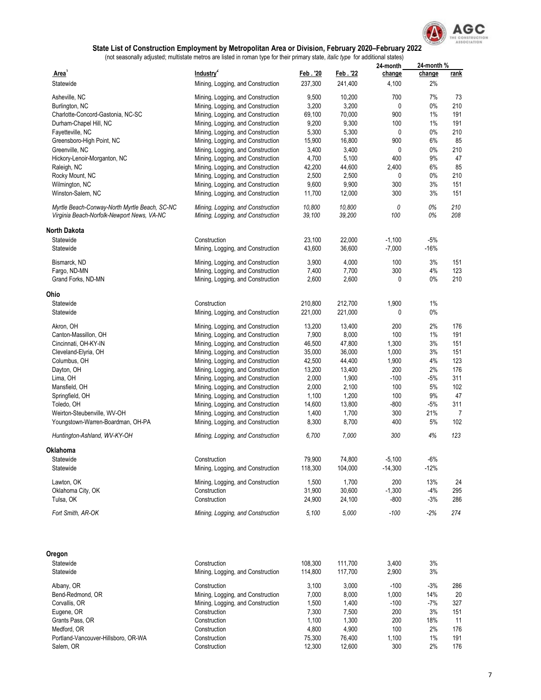

|                                                                                             |                                                                        |                  |                  | 24-month  | 24-month % |             |
|---------------------------------------------------------------------------------------------|------------------------------------------------------------------------|------------------|------------------|-----------|------------|-------------|
| Area <sup>1</sup>                                                                           | Industry <sup>2</sup>                                                  | Feb. '20         | Feb. 22          | change    | change     | <u>rank</u> |
| Statewide                                                                                   | Mining, Logging, and Construction                                      | 237,300          | 241,400          | 4,100     | 2%         |             |
| Asheville, NC                                                                               | Mining, Logging, and Construction                                      | 9,500            | 10,200           | 700       | 7%         | 73          |
| Burlington, NC                                                                              | Mining, Logging, and Construction                                      | 3,200            | 3,200            | 0         | 0%         | 210         |
| Charlotte-Concord-Gastonia, NC-SC                                                           | Mining, Logging, and Construction                                      | 69,100           | 70,000           | 900       | 1%         | 191         |
| Durham-Chapel Hill, NC                                                                      | Mining, Logging, and Construction                                      | 9,200            | 9,300            | 100       | 1%         | 191         |
| Fayetteville, NC                                                                            | Mining, Logging, and Construction                                      | 5,300            | 5,300            | 0         | $0\%$      | 210         |
| Greensboro-High Point, NC                                                                   | Mining, Logging, and Construction                                      | 15,900           | 16,800           | 900       | 6%         | 85          |
| Greenville, NC                                                                              | Mining, Logging, and Construction                                      | 3,400            | 3,400            | 0         | $0\%$      | 210         |
| Hickory-Lenoir-Morganton, NC                                                                | Mining, Logging, and Construction                                      | 4,700            | 5,100            | 400       | 9%         | 47          |
| Raleigh, NC                                                                                 | Mining, Logging, and Construction                                      | 42,200           | 44,600           | 2,400     | 6%         | 85          |
| Rocky Mount, NC                                                                             | Mining, Logging, and Construction                                      | 2,500            | 2,500            | 0         | 0%         | 210         |
| Wilmington, NC                                                                              | Mining, Logging, and Construction                                      | 9,600            | 9,900            | 300       | 3%         | 151         |
| Winston-Salem, NC                                                                           | Mining, Logging, and Construction                                      | 11,700           | 12,000           | 300       | 3%         | 151         |
|                                                                                             |                                                                        |                  |                  |           |            |             |
| Myrtle Beach-Conway-North Myrtle Beach, SC-NC<br>Virginia Beach-Norfolk-Newport News, VA-NC | Mining, Logging, and Construction<br>Mining, Logging, and Construction | 10,800<br>39,100 | 10,800<br>39,200 | 0<br>100  | 0%<br>0%   | 210<br>208  |
| <b>North Dakota</b>                                                                         |                                                                        |                  |                  |           |            |             |
| Statewide                                                                                   | Construction                                                           | 23,100           | 22,000           | $-1,100$  | $-5%$      |             |
| Statewide                                                                                   | Mining, Logging, and Construction                                      | 43,600           | 36,600           | $-7,000$  | $-16%$     |             |
|                                                                                             |                                                                        |                  |                  |           |            |             |
| Bismarck, ND                                                                                | Mining, Logging, and Construction                                      | 3,900            | 4,000            | 100       | 3%         | 151         |
| Fargo, ND-MN                                                                                | Mining, Logging, and Construction                                      | 7,400            | 7,700            | 300       | 4%         | 123         |
| Grand Forks, ND-MN                                                                          | Mining, Logging, and Construction                                      | 2,600            | 2,600            | 0         | 0%         | 210         |
| Ohio                                                                                        |                                                                        |                  |                  |           |            |             |
| Statewide                                                                                   | Construction                                                           | 210,800          | 212,700          | 1,900     | 1%         |             |
| Statewide                                                                                   | Mining, Logging, and Construction                                      | 221,000          | 221,000          | 0         | $0\%$      |             |
| Akron, OH                                                                                   | Mining, Logging, and Construction                                      | 13,200           | 13,400           | 200       | 2%         | 176         |
| Canton-Massillon, OH                                                                        | Mining, Logging, and Construction                                      | 7,900            | 8,000            | 100       | 1%         | 191         |
| Cincinnati, OH-KY-IN                                                                        | Mining, Logging, and Construction                                      | 46,500           | 47,800           | 1,300     | 3%         | 151         |
| Cleveland-Elyria, OH                                                                        | Mining, Logging, and Construction                                      | 35,000           | 36,000           | 1,000     | 3%         | 151         |
| Columbus, OH                                                                                | Mining, Logging, and Construction                                      | 42,500           | 44,400           | 1,900     | 4%         | 123         |
| Dayton, OH                                                                                  | Mining, Logging, and Construction                                      | 13,200           | 13,400           | 200       | 2%         | 176         |
| Lima, OH                                                                                    | Mining, Logging, and Construction                                      | 2,000            | 1,900            | -100      | $-5%$      | 311         |
| Mansfield, OH                                                                               | Mining, Logging, and Construction                                      | 2,000            | 2,100            | 100       | 5%         | 102         |
| Springfield, OH                                                                             | Mining, Logging, and Construction                                      | 1,100            | 1,200            | 100       | 9%         | 47          |
| Toledo, OH                                                                                  | Mining, Logging, and Construction                                      | 14,600           | 13,800           | -800      | $-5%$      | 311         |
| Weirton-Steubenville, WV-OH                                                                 | Mining, Logging, and Construction                                      | 1,400            | 1,700            | 300       | 21%        | 7           |
| Youngstown-Warren-Boardman, OH-PA                                                           | Mining, Logging, and Construction                                      | 8,300            | 8,700            | 400       | 5%         | 102         |
| Huntington-Ashland, WV-KY-OH                                                                | Mining, Logging, and Construction                                      | 6,700            | 7,000            | 300       | 4%         | 123         |
| Oklahoma                                                                                    |                                                                        |                  |                  |           |            |             |
| Statewide                                                                                   | Construction                                                           | 79,900           | 74,800           | $-5,100$  | $-6%$      |             |
| Statewide                                                                                   | Mining, Logging, and Construction                                      | 118,300          | 104,000          | $-14,300$ | $-12%$     |             |
| Lawton, OK                                                                                  | Mining, Logging, and Construction                                      | 1,500            | 1,700            | 200       | 13%        | 24          |
| Oklahoma City, OK                                                                           | Construction                                                           | 31,900           | 30,600           | $-1,300$  | $-4%$      | 295         |
| Tulsa, OK                                                                                   | Construction                                                           | 24,900           | 24,100           | -800      | $-3%$      | 286         |
|                                                                                             |                                                                        |                  |                  |           |            |             |
| Fort Smith, AR-OK                                                                           | Mining, Logging, and Construction                                      | 5,100            | 5,000            | $-100$    | -2%        | 274         |
| Oregon                                                                                      |                                                                        |                  |                  |           |            |             |
| Statewide                                                                                   | Construction                                                           | 108,300          | 111,700          | 3,400     | 3%         |             |
| Statewide                                                                                   | Mining, Logging, and Construction                                      | 114,800          | 117,700          | 2,900     | 3%         |             |
| Albany, OR                                                                                  | Construction                                                           | 3,100            | 3,000            | $-100$    | $-3%$      | 286         |
| Bend-Redmond, OR                                                                            | Mining, Logging, and Construction                                      | 7,000            | 8,000            | 1,000     | 14%        | 20          |
| Corvallis, OR                                                                               | Mining, Logging, and Construction                                      | 1,500            | 1,400            | $-100$    | $-7%$      | 327         |
| Eugene, OR                                                                                  | Construction                                                           | 7,300            | 7,500            | 200       | 3%         | 151         |
| Grants Pass, OR                                                                             | Construction                                                           | 1,100            | 1,300            | 200       | 18%        | 11          |
| Medford, OR                                                                                 | Construction                                                           | 4,800            | 4,900            | 100       | 2%         | 176         |
| Portland-Vancouver-Hillsboro, OR-WA                                                         | Construction                                                           | 75,300           | 76,400           | 1,100     | 1%         | 191         |
| Salem, OR                                                                                   | Construction                                                           | 12,300           | 12,600           | 300       | 2%         | 176         |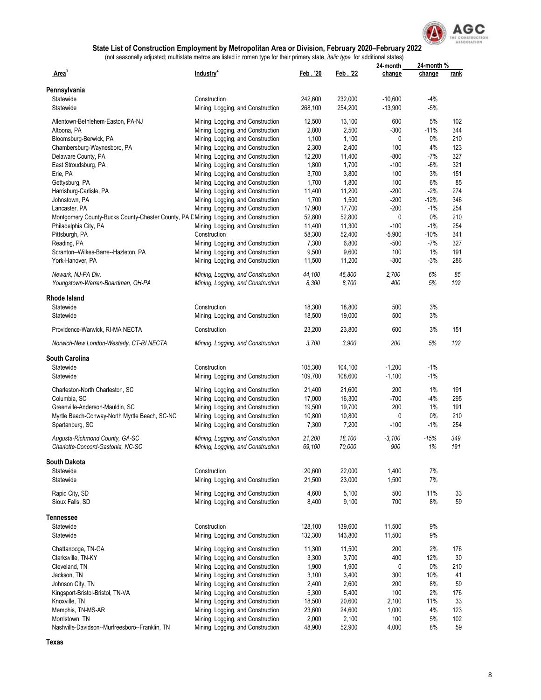

|                                                                                       |                                   |          |         | 24-month  | 24-month % |      |
|---------------------------------------------------------------------------------------|-----------------------------------|----------|---------|-----------|------------|------|
| Area'                                                                                 | Industry <sup>2</sup>             | Feb. '20 | Feb. 22 | change    | change     | rank |
| Pennsylvania                                                                          |                                   |          |         |           |            |      |
| Statewide                                                                             | Construction                      | 242,600  | 232,000 | $-10,600$ | $-4%$      |      |
| Statewide                                                                             | Mining, Logging, and Construction | 268,100  | 254,200 | $-13,900$ | $-5%$      |      |
|                                                                                       |                                   |          |         |           |            |      |
| Allentown-Bethlehem-Easton, PA-NJ                                                     | Mining, Logging, and Construction | 12,500   | 13,100  | 600       | 5%         | 102  |
| Altoona, PA                                                                           | Mining, Logging, and Construction | 2,800    | 2,500   | $-300$    | $-11%$     | 344  |
| Bloomsburg-Berwick, PA                                                                | Mining, Logging, and Construction | 1,100    | 1,100   | 0         | 0%         | 210  |
| Chambersburg-Waynesboro, PA                                                           | Mining, Logging, and Construction | 2,300    | 2,400   | 100       | 4%         | 123  |
| Delaware County, PA                                                                   | Mining, Logging, and Construction | 12,200   | 11,400  | $-800$    | $-7%$      | 327  |
| East Stroudsburg, PA                                                                  | Mining, Logging, and Construction | 1,800    | 1,700   | $-100$    | -6%        | 321  |
| Erie, PA                                                                              | Mining, Logging, and Construction | 3,700    | 3,800   | 100       | 3%         | 151  |
| Gettysburg, PA                                                                        | Mining, Logging, and Construction | 1,700    | 1,800   | 100       | 6%         | 85   |
| Harrisburg-Carlisle, PA                                                               | Mining, Logging, and Construction | 11,400   | 11,200  | $-200$    | $-2%$      | 274  |
| Johnstown, PA                                                                         | Mining, Logging, and Construction | 1,700    | 1,500   | $-200$    | $-12%$     | 346  |
|                                                                                       |                                   | 17,900   | 17,700  | $-200$    | $-1%$      | 254  |
| Lancaster, PA                                                                         | Mining, Logging, and Construction |          |         |           |            |      |
| Montgomery County-Bucks County-Chester County, PA E Mining, Logging, and Construction |                                   | 52,800   | 52,800  | 0         | $0\%$      | 210  |
| Philadelphia City, PA                                                                 | Mining, Logging, and Construction | 11,400   | 11,300  | $-100$    | $-1%$      | 254  |
| Pittsburgh, PA                                                                        | Construction                      | 58,300   | 52,400  | $-5,900$  | $-10%$     | 341  |
| Reading, PA                                                                           | Mining, Logging, and Construction | 7,300    | 6,800   | -500      | -7%        | 327  |
| Scranton--Wilkes-Barre--Hazleton, PA                                                  | Mining, Logging, and Construction | 9,500    | 9,600   | 100       | 1%         | 191  |
| York-Hanover, PA                                                                      | Mining, Logging, and Construction | 11,500   | 11,200  | $-300$    | $-3%$      | 286  |
|                                                                                       |                                   |          |         |           |            |      |
| Newark, NJ-PA Div.                                                                    | Mining, Logging, and Construction | 44,100   | 46,800  | 2,700     | 6%         | 85   |
| Youngstown-Warren-Boardman, OH-PA                                                     | Mining, Logging, and Construction | 8,300    | 8,700   | 400       | 5%         | 102  |
| Rhode Island                                                                          |                                   |          |         |           |            |      |
|                                                                                       |                                   |          |         |           |            |      |
| Statewide                                                                             | Construction                      | 18,300   | 18,800  | 500       | 3%         |      |
| Statewide                                                                             | Mining, Logging, and Construction | 18,500   | 19,000  | 500       | 3%         |      |
| Providence-Warwick, RI-MA NECTA                                                       | Construction                      | 23,200   | 23,800  | 600       | 3%         | 151  |
| Norwich-New London-Westerly, CT-RI NECTA                                              | Mining, Logging, and Construction | 3,700    | 3,900   | 200       | 5%         | 102  |
|                                                                                       |                                   |          |         |           |            |      |
| South Carolina                                                                        |                                   |          |         |           |            |      |
| Statewide                                                                             | Construction                      | 105,300  | 104,100 | $-1,200$  | $-1%$      |      |
| Statewide                                                                             | Mining, Logging, and Construction | 109,700  | 108,600 | $-1,100$  | $-1%$      |      |
| Charleston-North Charleston, SC                                                       | Mining, Logging, and Construction | 21,400   | 21,600  | 200       | 1%         | 191  |
| Columbia, SC                                                                          | Mining, Logging, and Construction | 17,000   | 16,300  | $-700$    | $-4%$      | 295  |
|                                                                                       |                                   |          |         |           |            |      |
| Greenville-Anderson-Mauldin, SC                                                       | Mining, Logging, and Construction | 19,500   | 19,700  | 200       | 1%         | 191  |
| Myrtle Beach-Conway-North Myrtle Beach, SC-NC                                         | Mining, Logging, and Construction | 10,800   | 10,800  | 0         | $0\%$      | 210  |
| Spartanburg, SC                                                                       | Mining, Logging, and Construction | 7,300    | 7,200   | $-100$    | $-1\%$     | 254  |
| Augusta-Richmond County, GA-SC                                                        | Mining, Logging, and Construction | 21.200   | 18,100  | $-3.100$  | $-15%$     | 349  |
| Charlotte-Concord-Gastonia, NC-SC                                                     | Mining, Logging, and Construction | 69,100   | 70,000  | 900       | 1%         | 191  |
|                                                                                       |                                   |          |         |           |            |      |
| South Dakota                                                                          |                                   |          |         |           |            |      |
| Statewide                                                                             | Construction                      | 20,600   | 22,000  | 1,400     | 7%         |      |
| Statewide                                                                             | Mining, Logging, and Construction | 21,500   | 23,000  | 1,500     | 7%         |      |
| Rapid City, SD                                                                        | Mining, Logging, and Construction | 4,600    | 5,100   | 500       | 11%        | 33   |
| Sioux Falls, SD                                                                       | Mining, Logging, and Construction | 8,400    | 9,100   | 700       | 8%         | 59   |
|                                                                                       |                                   |          |         |           |            |      |
| Tennessee                                                                             |                                   |          |         |           |            |      |
| Statewide                                                                             | Construction                      | 128,100  | 139,600 | 11,500    | 9%         |      |
| Statewide                                                                             | Mining, Logging, and Construction | 132,300  | 143,800 | 11,500    | 9%         |      |
|                                                                                       |                                   |          |         |           |            |      |
| Chattanooga, TN-GA                                                                    | Mining, Logging, and Construction | 11,300   | 11,500  | 200       | 2%         | 176  |
| Clarksville, TN-KY                                                                    | Mining, Logging, and Construction | 3,300    | 3,700   | 400       | 12%        | 30   |
| Cleveland, TN                                                                         | Mining, Logging, and Construction | 1,900    | 1,900   | 0         | $0\%$      | 210  |
| Jackson, TN                                                                           | Mining, Logging, and Construction | 3,100    | 3,400   | 300       | 10%        | 41   |
| Johnson City, TN                                                                      | Mining, Logging, and Construction | 2,400    | 2,600   | 200       | 8%         | 59   |
| Kingsport-Bristol-Bristol, TN-VA                                                      | Mining, Logging, and Construction | 5,300    | 5,400   | 100       | 2%         | 176  |
| Knoxville, TN                                                                         | Mining, Logging, and Construction | 18,500   | 20,600  | 2,100     | 11%        | 33   |
| Memphis, TN-MS-AR                                                                     | Mining, Logging, and Construction | 23,600   | 24,600  | 1,000     | 4%         | 123  |
| Morristown, TN                                                                        | Mining, Logging, and Construction | 2,000    | 2,100   | 100       | 5%         | 102  |
|                                                                                       |                                   |          |         |           |            |      |
| Nashville-Davidson--Murfreesboro--Franklin, TN                                        | Mining, Logging, and Construction | 48,900   | 52,900  | 4,000     | $8\%$      | 59   |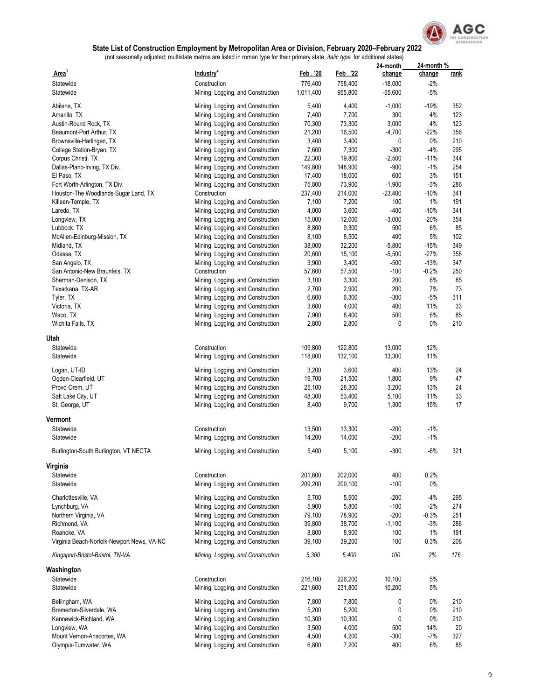

|                                            |                                   |                 |                 | 24-month    | 24-month %      |             |
|--------------------------------------------|-----------------------------------|-----------------|-----------------|-------------|-----------------|-------------|
| Area'                                      | Industry <sup>2</sup>             | <u>Feb. '20</u> | Feb. 22         | change      | change          | <u>rank</u> |
| Statewide                                  | Construction                      | 776,400         | 758,400         | $-18,000$   | $-2%$           |             |
| Statewide                                  | Mining, Logging, and Construction | 1,011,400       | 955,800         | $-55,600$   | $-5%$           |             |
|                                            | Mining, Logging, and Construction | 5,400           | 4,400           | $-1,000$    | $-19%$          | 352         |
| Abilene, TX<br>Amarillo, TX                | Mining, Logging, and Construction | 7,400           | 7,700           | 300         | 4%              | 123         |
| Austin-Round Rock, TX                      | Mining, Logging, and Construction | 70,300          | 73,300          | 3,000       | 4%              | 123         |
|                                            | Mining, Logging, and Construction |                 | 16,500          |             |                 | 356         |
| Beaumont-Port Arthur, TX                   |                                   | 21,200<br>3,400 | 3,400           | $-4,700$    | $-22%$<br>$0\%$ | 210         |
| Brownsville-Harlingen, TX                  | Mining, Logging, and Construction |                 |                 | 0<br>$-300$ | $-4%$           | 295         |
| College Station-Bryan, TX                  | Mining, Logging, and Construction | 7,600<br>22,300 | 7,300<br>19,800 |             | $-11%$          | 344         |
| Corpus Christi, TX                         | Mining, Logging, and Construction |                 | 148,900         | $-2,500$    | $-1%$           | 254         |
| Dallas-Plano-Irving, TX Div.               | Mining, Logging, and Construction | 149,800         |                 | -900        | 3%              |             |
| El Paso, TX                                | Mining, Logging, and Construction | 17,400          | 18,000          | 600         |                 | 151         |
| Fort Worth-Arlington, TX Div.              | Mining, Logging, and Construction | 75,800          | 73,900          | $-1,900$    | $-3%$           | 286         |
| Houston-The Woodlands-Sugar Land, TX       | Construction                      | 237,400         | 214,000         | $-23,400$   | $-10%$          | 341         |
| Killeen-Temple, TX                         | Mining, Logging, and Construction | 7,100           | 7,200           | 100         | 1%              | 191         |
| Laredo, TX                                 | Mining, Logging, and Construction | 4,000           | 3,600           | -400        | $-10%$          | 341         |
| Longview, TX                               | Mining, Logging, and Construction | 15,000          | 12,000          | $-3,000$    | $-20%$          | 354         |
| Lubbock, TX                                | Mining, Logging, and Construction | 8,800           | 9,300           | 500         | 6%              | 85          |
| McAllen-Edinburg-Mission, TX               | Mining, Logging, and Construction | 8,100           | 8,500           | 400         | 5%              | 102         |
| Midland, TX                                | Mining, Logging, and Construction | 38,000          | 32,200          | $-5,800$    | $-15%$          | 349         |
| Odessa, TX                                 | Mining, Logging, and Construction | 20,600          | 15,100          | $-5,500$    | $-27%$          | 358         |
| San Angelo, TX                             | Mining, Logging, and Construction | 3,900           | 3,400           | $-500$      | $-13%$          | 347         |
| San Antonio-New Braunfels, TX              | Construction                      | 57,600          | 57,500          | $-100$      | $-0.2%$         | 250         |
| Sherman-Denison, TX                        | Mining, Logging, and Construction | 3,100           | 3,300           | 200         | 6%              | 85          |
| Texarkana, TX-AR                           | Mining, Logging, and Construction | 2,700           | 2,900           | 200         | 7%              | 73          |
| Tyler, TX                                  | Mining, Logging, and Construction | 6,600           | 6,300           | -300        | $-5%$           | 311         |
| Victoria, TX                               | Mining, Logging, and Construction | 3,600           | 4,000           | 400         | 11%             | 33          |
| Waco, TX                                   | Mining, Logging, and Construction | 7,900           | 8,400           | 500         | 6%              | 85          |
| Wichita Falls, TX                          | Mining, Logging, and Construction | 2,800           | 2,800           | 0           | $0\%$           | 210         |
|                                            |                                   |                 |                 |             |                 |             |
| Utah                                       |                                   |                 |                 |             |                 |             |
| Statewide                                  | Construction                      | 109,800         | 122,800         | 13,000      | 12%             |             |
| Statewide                                  | Mining, Logging, and Construction | 118,800         | 132,100         | 13,300      | 11%             |             |
| Logan, UT-ID                               | Mining, Logging, and Construction | 3,200           | 3,600           | 400         | 13%             | 24          |
| Ogden-Clearfield, UT                       | Mining, Logging, and Construction | 19,700          | 21,500          | 1,800       | 9%              | 47          |
| Provo-Orem, UT                             | Mining, Logging, and Construction | 25,100          | 28,300          | 3,200       | 13%             | 24          |
| Salt Lake City, UT                         | Mining, Logging, and Construction | 48,300          | 53,400          | 5,100       | 11%             | 33          |
| St. George, UT                             | Mining, Logging, and Construction | 8,400           | 9,700           | 1,300       | 15%             | 17          |
|                                            |                                   |                 |                 |             |                 |             |
| Vermont                                    |                                   |                 |                 |             |                 |             |
| Statewide                                  | Construction                      | 13,500          | 13,300          | $-200$      | $-1\%$          |             |
| Statewide                                  | Mining, Logging, and Construction | 14,200          | 14,000          | $-200$      | $-1%$           |             |
|                                            |                                   |                 |                 |             |                 |             |
| Burlington-South Burlington, VT NECTA      | Mining, Logging, and Construction | 5,400           | 5,100           | $-300$      | $-6%$           | 321         |
| Virginia                                   |                                   |                 |                 |             |                 |             |
| Statewide                                  | Construction                      | 201,600         | 202,000         | 400         | 0.2%            |             |
| Statewide                                  | Mining, Logging, and Construction | 209,200         | 209,100         | $-100$      | $0\%$           |             |
|                                            |                                   |                 |                 |             |                 |             |
| Charlottesville, VA                        | Mining, Logging, and Construction | 5,700           | 5,500           | $-200$      | $-4%$           | 295         |
| Lynchburg, VA                              | Mining, Logging, and Construction | 5,900           | 5,800           | $-100$      | $-2%$           | 274         |
| Northern Virginia, VA                      | Mining, Logging, and Construction | 79,100          | 78,900          | $-200$      | $-0.3%$         | 251         |
| Richmond, VA                               | Mining, Logging, and Construction | 39,800          | 38,700          | $-1,100$    | $-3%$           | 286         |
| Roanoke, VA                                | Mining, Logging, and Construction | 8,800           | 8,900           | 100         | $1\%$           | 191         |
| Virginia Beach-Norfolk-Newport News, VA-NC | Mining, Logging, and Construction | 39,100          | 39,200          | 100         | 0.3%            | 208         |
| Kingsport-Bristol-Bristol, TN-VA           | Mining, Logging, and Construction | 5,300           | 5,400           | 100         | 2%              | 176         |
|                                            |                                   |                 |                 |             |                 |             |
| Washington                                 |                                   |                 |                 |             |                 |             |
| Statewide                                  | Construction                      | 216,100         | 226,200         | 10,100      | $5\%$           |             |
| Statewide                                  | Mining, Logging, and Construction | 221,600         | 231,800         | 10,200      | 5%              |             |
| Bellingham, WA                             | Mining, Logging, and Construction | 7,800           | 7,800           | 0           | $0\%$           | 210         |
| Bremerton-Silverdale, WA                   | Mining, Logging, and Construction | 5,200           | 5,200           | 0           | 0%              | 210         |
| Kennewick-Richland, WA                     | Mining, Logging, and Construction | 10,300          | 10,300          | 0           | $0\%$           | 210         |
| Longview, WA                               | Mining, Logging, and Construction | 3,500           | 4,000           | 500         | 14%             | 20          |
| Mount Vernon-Anacortes, WA                 | Mining, Logging, and Construction | 4,500           | 4,200           | -300        | $-7%$           | 327         |
| Olympia-Tumwater, WA                       | Mining, Logging, and Construction | 6,800           | 7,200           | 400         | 6%              | 85          |
|                                            |                                   |                 |                 |             |                 |             |